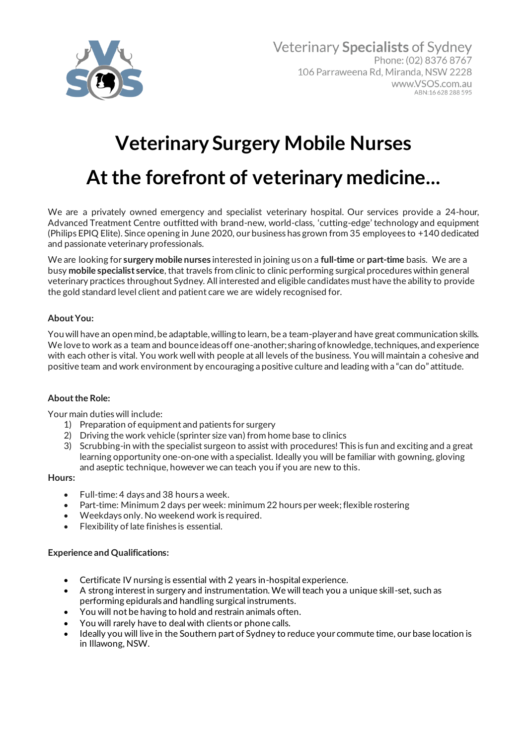

# **Veterinary Surgery Mobile Nurses**

## **At the forefront of veterinary medicine...**

We are a privately owned emergency and specialist veterinary hospital. Our services provide a 24-hour, Advanced Treatment Centre outfitted with brand-new, world-class, 'cutting-edge' technology and equipment (Philips EPIQ Elite). Since opening in June 2020, our business has grown from 35 employees to +140 dedicated and passionate veterinary professionals.

We are looking for **surgery mobile nurses** interested in joining us on a **full-time** or **part-time** basis. We are a busy **mobile specialist service**, that travels from clinic to clinic performing surgical procedures within general veterinary practices throughout Sydney. All interested and eligible candidates must have the ability to provide the gold standard level client and patient care we are widely recognised for.

## **About You:**

You will have an open mind, be adaptable, willing to learn, be a team-player and have great communication skills. We love to work as a team and bounce ideas off one-another; sharing of knowledge, techniques, and experience with each other is vital. You work well with people at all levels of the business. You will maintain a cohesive and positive team and work environment by encouraging a positive culture and leading with a "can do" attitude.

## **About the Role:**

Your main duties will include:

- 1) Preparation of equipment and patients for surgery
- 2) Driving the work vehicle (sprinter size van) from home base to clinics
- 3) Scrubbing-in with the specialist surgeon to assist with procedures! This is fun and exciting and a great learning opportunity one-on-one with a specialist. Ideally you will be familiar with gowning, gloving and aseptic technique, however we can teach you if you are new to this.

#### **Hours:**

- Full-time: 4 days and 38 hours a week.
- Part-time: Minimum 2 days per week: minimum 22 hours per week; flexible rostering
- Weekdays only. No weekend work is required.
- Flexibility of late finishes is essential.

## **Experience and Qualifications:**

- Certificate IV nursing is essential with 2 years in-hospital experience.
- A strong interest in surgery and instrumentation. We will teach you a unique skill-set, such as performing epidurals and handling surgical instruments.
- You will not be having to hold and restrain animals often.
- You will rarely have to deal with clients or phone calls.
- Ideally you will live in the Southern part of Sydney to reduce your commute time, our base location is in Illawong, NSW.